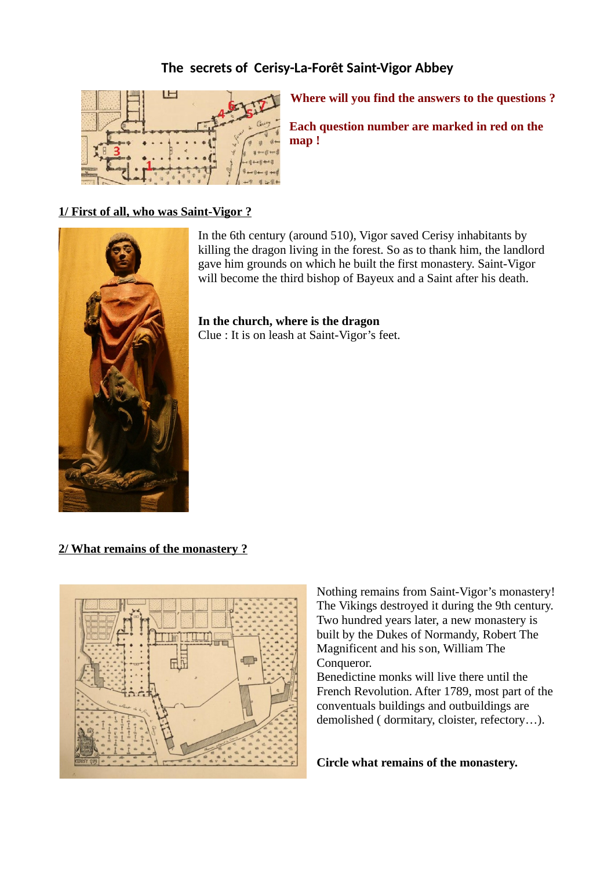# **The secrets of Cerisy-La-Forêt Saint-Vigor Abbey**



**Where will you find the answers to the questions ?** 

**Each question number are marked in red on the map !**

## **1/ First of all, who was Saint-Vigor ?**



In the 6th century (around 510), Vigor saved Cerisy inhabitants by killing the dragon living in the forest. So as to thank him, the landlord gave him grounds on which he built the first monastery. Saint-Vigor will become the third bishop of Bayeux and a Saint after his death.

**In the church, where is the dragon** Clue : It is on leash at Saint-Vigor's feet.

 **2/ What remains of the monastery ?**



Nothing remains from Saint-Vigor's monastery! The Vikings destroyed it during the 9th century. Two hundred years later, a new monastery is built by the Dukes of Normandy, Robert The Magnificent and his son, William The Conqueror.

Benedictine monks will live there until the French Revolution. After 1789, most part of the conventuals buildings and outbuildings are demolished ( dormitary, cloister, refectory…).

**Circle what remains of the monastery.**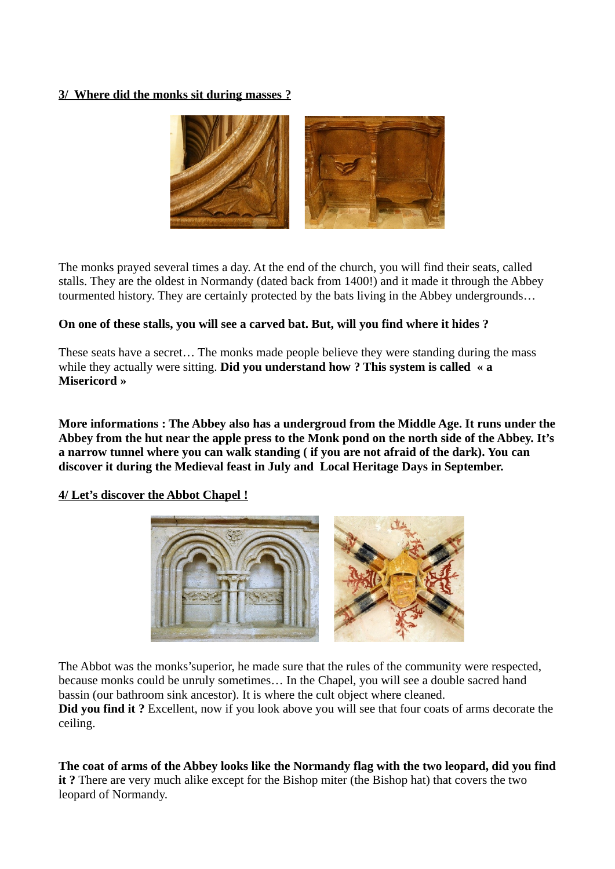## **3/ Where did the monks sit during masses ?**



The monks prayed several times a day. At the end of the church, you will find their seats, called stalls. They are the oldest in Normandy (dated back from 1400!) and it made it through the Abbey tourmented history. They are certainly protected by the bats living in the Abbey undergrounds…

# **On one of these stalls, you will see a carved bat. But, will you find where it hides ?**

These seats have a secret… The monks made people believe they were standing during the mass while they actually were sitting. **Did you understand how ? This system is called « a Misericord »**

**More informations : The Abbey also has a undergroud from the Middle Age. It runs under the Abbey from the hut near the apple press to the Monk pond on the north side of the Abbey. It's a narrow tunnel where you can walk standing ( if you are not afraid of the dark). You can discover it during the Medieval feast in July and Local Heritage Days in September.**

 **4/ Let's discover the Abbot Chapel !**



The Abbot was the monks'superior, he made sure that the rules of the community were respected, because monks could be unruly sometimes… In the Chapel, you will see a double sacred hand bassin (our bathroom sink ancestor). It is where the cult object where cleaned. **Did you find it ?** Excellent, now if you look above you will see that four coats of arms decorate the

ceiling.

**The coat of arms of the Abbey looks like the Normandy flag with the two leopard, did you find it ?** There are very much alike except for the Bishop miter (the Bishop hat) that covers the two leopard of Normandy.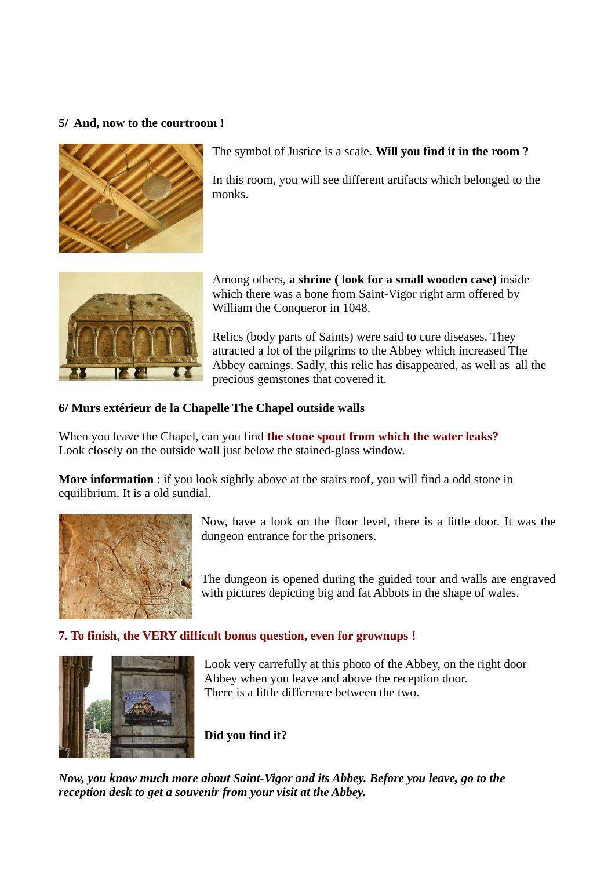## **5/ And, now to the courtroom !**



The symbol of Justice is a scale. **Will you find it in the room ?**

In this room, you will see different artifacts which belonged to the monks.



Among others, **a shrine ( look for a small wooden case)** inside which there was a bone from Saint-Vigor right arm offered by William the Conqueror in 1048.

Relics (body parts of Saints) were said to cure diseases. They attracted a lot of the pilgrims to the Abbey which increased The Abbey earnings. Sadly, this relic has disappeared, as well as all the precious gemstones that covered it.

#### **6/ Murs extérieur de la Chapelle The Chapel outside walls**

When you leave the Chapel, can you find **the stone spout from which the water leaks?** Look closely on the outside wall just below the stained-glass window.

**More information** : if you look sightly above at the stairs roof, you will find a odd stone in equilibrium. It is a old sundial.



Now, have a look on the floor level, there is a little door. It was the dungeon entrance for the prisoners.

The dungeon is opened during the guided tour and walls are engraved with pictures depicting big and fat Abbots in the shape of wales.

#### **7. To finish, the VERY difficult bonus question, even for grownups !**



Look very carrefully at this photo of the Abbey, on the right door Abbey when you leave and above the reception door. There is a little difference between the two.

**Did you find it?** 

*Now, you know much more about Saint-Vigor and its Abbey. Before you leave, go to the reception desk to get a souvenir from your visit at the Abbey.*